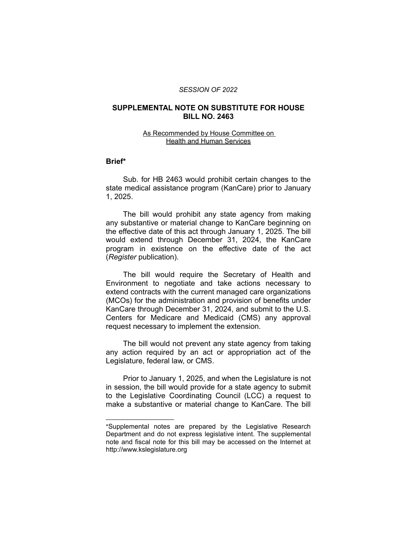#### *SESSION OF 2022*

### **SUPPLEMENTAL NOTE ON SUBSTITUTE FOR HOUSE BILL NO. 2463**

#### As Recommended by House Committee on Health and Human Services

## **Brief\***

Sub. for HB 2463 would prohibit certain changes to the state medical assistance program (KanCare) prior to January 1, 2025.

The bill would prohibit any state agency from making any substantive or material change to KanCare beginning on the effective date of this act through January 1, 2025. The bill would extend through December 31, 2024, the KanCare program in existence on the effective date of the act (*Register* publication).

The bill would require the Secretary of Health and Environment to negotiate and take actions necessary to extend contracts with the current managed care organizations (MCOs) for the administration and provision of benefits under KanCare through December 31, 2024, and submit to the U.S. Centers for Medicare and Medicaid (CMS) any approval request necessary to implement the extension.

The bill would not prevent any state agency from taking any action required by an act or appropriation act of the Legislature, federal law, or CMS.

Prior to January 1, 2025, and when the Legislature is not in session, the bill would provide for a state agency to submit to the Legislative Coordinating Council (LCC) a request to make a substantive or material change to KanCare. The bill

 $\overline{\phantom{a}}$  , where  $\overline{\phantom{a}}$  , where  $\overline{\phantom{a}}$ 

<sup>\*</sup>Supplemental notes are prepared by the Legislative Research Department and do not express legislative intent. The supplemental note and fiscal note for this bill may be accessed on the Internet at http://www.kslegislature.org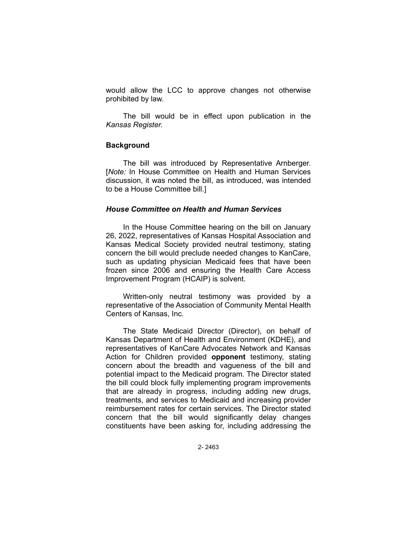would allow the LCC to approve changes not otherwise prohibited by law.

The bill would be in effect upon publication in the *Kansas Register.*

### **Background**

The bill was introduced by Representative Arnberger. [*Note:* In House Committee on Health and Human Services discussion, it was noted the bill, as introduced, was intended to be a House Committee bill.]

# *House Committee on Health and Human Services*

In the House Committee hearing on the bill on January 26, 2022, representatives of Kansas Hospital Association and Kansas Medical Society provided neutral testimony, stating concern the bill would preclude needed changes to KanCare, such as updating physician Medicaid fees that have been frozen since 2006 and ensuring the Health Care Access Improvement Program (HCAIP) is solvent.

Written-only neutral testimony was provided by a representative of the Association of Community Mental Health Centers of Kansas, Inc.

The State Medicaid Director (Director), on behalf of Kansas Department of Health and Environment (KDHE), and representatives of KanCare Advocates Network and Kansas Action for Children provided **opponent** testimony, stating concern about the breadth and vagueness of the bill and potential impact to the Medicaid program. The Director stated the bill could block fully implementing program improvements that are already in progress, including adding new drugs, treatments, and services to Medicaid and increasing provider reimbursement rates for certain services. The Director stated concern that the bill would significantly delay changes constituents have been asking for, including addressing the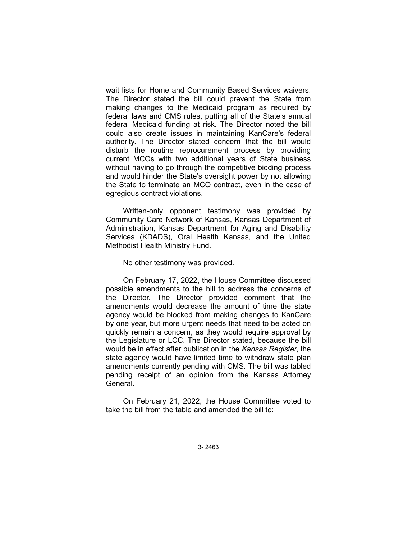wait lists for Home and Community Based Services waivers. The Director stated the bill could prevent the State from making changes to the Medicaid program as required by federal laws and CMS rules, putting all of the State's annual federal Medicaid funding at risk. The Director noted the bill could also create issues in maintaining KanCare's federal authority. The Director stated concern that the bill would disturb the routine reprocurement process by providing current MCOs with two additional years of State business without having to go through the competitive bidding process and would hinder the State's oversight power by not allowing the State to terminate an MCO contract, even in the case of egregious contract violations.

Written-only opponent testimony was provided by Community Care Network of Kansas, Kansas Department of Administration, Kansas Department for Aging and Disability Services (KDADS), Oral Health Kansas, and the United Methodist Health Ministry Fund.

No other testimony was provided.

On February 17, 2022, the House Committee discussed possible amendments to the bill to address the concerns of the Director. The Director provided comment that the amendments would decrease the amount of time the state agency would be blocked from making changes to KanCare by one year, but more urgent needs that need to be acted on quickly remain a concern, as they would require approval by the Legislature or LCC. The Director stated, because the bill would be in effect after publication in the *Kansas Register*, the state agency would have limited time to withdraw state plan amendments currently pending with CMS. The bill was tabled pending receipt of an opinion from the Kansas Attorney General.

On February 21, 2022, the House Committee voted to take the bill from the table and amended the bill to:

3- 2463